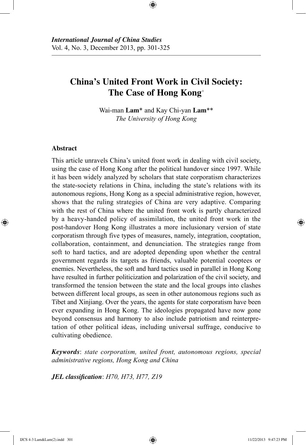# **China's United Front Work in Civil Society: The Case of Hong Kong**<sup>+</sup>

⊕

Wai-man **Lam**\* and Kay Chi-yan **Lam**\*\* *The University of Hong Kong*

# **Abstract**

⊕

This article unravels China's united front work in dealing with civil society, using the case of Hong Kong after the political handover since 1997. While it has been widely analyzed by scholars that state corporatism characterizes the state-society relations in China, including the state's relations with its autonomous regions, Hong Kong as a special administrative region, however, shows that the ruling strategies of China are very adaptive. Comparing with the rest of China where the united front work is partly characterized by a heavy-handed policy of assimilation, the united front work in the post-handover Hong Kong illustrates a more inclusionary version of state corporatism through five types of measures, namely, integration, cooptation, collaboration, containment, and denunciation. The strategies range from soft to hard tactics, and are adopted depending upon whether the central government regards its targets as friends, valuable potential cooptees or enemies. Nevertheless, the soft and hard tactics used in parallel in Hong Kong have resulted in further politicization and polarization of the civil society, and transformed the tension between the state and the local groups into clashes between different local groups, as seen in other autonomous regions such as Tibet and Xinjiang. Over the years, the agents for state corporatism have been ever expanding in Hong Kong. The ideologies propagated have now gone beyond consensus and harmony to also include patriotism and reinterpretation of other political ideas, including universal suffrage, conducive to cultivating obedience.

*Keywords*: *state corporatism, united front, autonomous regions, special administrative regions, Hong Kong and China*

*JEL classification*: *H70, H73, H77, Z19*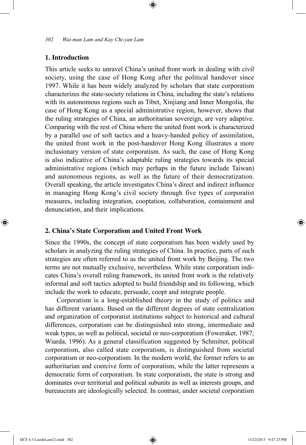## **1. Introduction**

This article seeks to unravel China's united front work in dealing with civil society, using the case of Hong Kong after the political handover since 1997. While it has been widely analyzed by scholars that state corporatism characterizes the state-society relations in China, including the state's relations with its autonomous regions such as Tibet, Xinjiang and Inner Mongolia, the case of Hong Kong as a special administrative region, however, shows that the ruling strategies of China, an authoritarian sovereign, are very adaptive. Comparing with the rest of China where the united front work is characterized by a parallel use of soft tactics and a heavy-handed policy of assimilation, the united front work in the post-handover Hong Kong illustrates a more inclusionary version of state corporatism. As such, the case of Hong Kong is also indicative of China's adaptable ruling strategies towards its special administrative regions (which may perhaps in the future include Taiwan) and autonomous regions, as well as the future of their democratization. Overall speaking, the article investigates China's direct and indirect influence in managing Hong Kong's civil society through five types of corporatist measures, including integration, cooptation, collaboration, containment and denunciation, and their implications.

⊕

#### **2. China's State Corporatism and United Front Work**

Since the 1990s, the concept of state corporatism has been widely used by scholars in analyzing the ruling strategies of China. In practice, parts of such strategies are often referred to as the united front work by Beijing. The two terms are not mutually exclusive, nevertheless. While state corporatism indicates China's overall ruling framework, its united front work is the relatively informal and soft tactics adopted to build friendship and its following, which include the work to educate, persuade, coopt and integrate people.

Corporatism is a long-established theory in the study of politics and has different variants. Based on the different degrees of state centralization and organization of corporatist institutions subject to historical and cultural differences, corporatism can be distinguished into strong, intermediate and weak types, as well as political, societal or neo-corporatism (Foweraker, 1987; Wiarda, 1996). As a general classification suggested by Schmitter, political corporatism, also called state corporatism, is distinguished from societal corporatism or neo-corporatism. In the modern world, the former refers to an authoritarian and coercive form of corporatism, while the latter represents a democratic form of corporatism. In state corporatism, the state is strong and dominates over territorial and political subunits as well as interests groups, and bureaucrats are ideologically selected. In contrast, under societal corporatism

⊕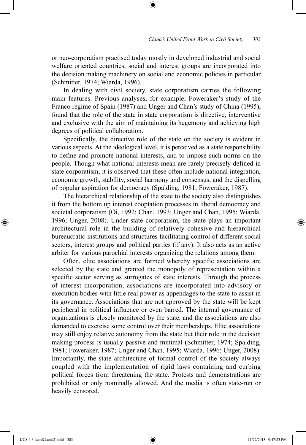or neo-corporatism practised today mostly in developed industrial and social welfare oriented countries, social and interest groups are incorporated into the decision making machinery on social and economic policies in particular (Schmitter, 1974; Wiarda, 1996).

⊕

In dealing with civil society, state corporatism carries the following main features. Previous analyses, for example, Foweraker's study of the Franco regime of Spain (1987) and Unger and Chan's study of China (1995), found that the role of the state in state corporatism is directive, interventive and exclusive with the aim of maintaining its hegemony and achieving high degrees of political collaboration.

Specifically, the directive role of the state on the society is evident in various aspects. At the ideological level, it is perceived as a state responsibility to define and promote national interests, and to impose such norms on the people. Though what national interests mean are rarely precisely defined in state corporatism, it is observed that these often include national integration, economic growth, stability, social harmony and consensus, and the dispelling of popular aspiration for democracy (Spalding, 1981; Foweraker, 1987).

The hierarchical relationship of the state to the society also distinguishes it from the bottom up interest cooptation processes in liberal democracy and societal corporatism (Oi, 1992; Chan, 1993; Unger and Chan, 1995; Wiarda, 1996; Unger, 2008). Under state corporatism, the state plays an important architectural role in the building of relatively cohesive and hierarchical bureaucratic institutions and structures facilitating control of different social sectors, interest groups and political parties (if any). It also acts as an active arbiter for various parochial interests organizing the relations among them.

Often, elite associations are formed whereby specific associations are selected by the state and granted the monopoly of representation within a specific sector serving as surrogates of state interests. Through the process of interest incorporation, associations are incorporated into advisory or execution bodies with little real power as appendages to the state to assist in its governance. Associations that are not approved by the state will be kept peripheral in political influence or even barred. The internal governance of organizations is closely monitored by the state, and the associations are also demanded to exercise some control over their memberships. Elite associations may still enjoy relative autonomy from the state but their role in the decision making process is usually passive and minimal (Schmitter, 1974; Spalding, 1981; Foweraker, 1987; Unger and Chan, 1995; Wiarda, 1996; Unger, 2008). Importantly, the state architecture of formal control of the society always coupled with the implementation of rigid laws containing and curbing political forces from threatening the state. Protests and demonstrations are prohibited or only nominally allowed. And the media is often state-run or heavily censored.

⊕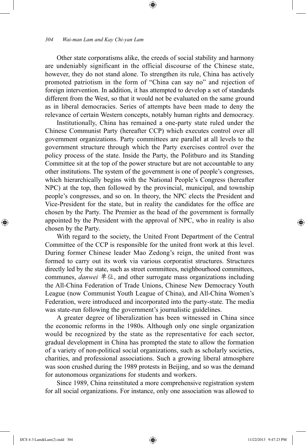Other state corporatisms alike, the creeds of social stability and harmony are undeniably significant in the official discourse of the Chinese state, however, they do not stand alone. To strengthen its rule, China has actively promoted patriotism in the form of "China can say no" and rejection of foreign intervention. In addition, it has attempted to develop a set of standards different from the West, so that it would not be evaluated on the same ground as in liberal democracies. Series of attempts have been made to deny the relevance of certain Western concepts, notably human rights and democracy.

⊕

Institutionally, China has remained a one-party state ruled under the Chinese Communist Party (hereafter CCP) which executes control over all government organizations. Party committees are parallel at all levels to the government structure through which the Party exercises control over the policy process of the state. Inside the Party, the Politburo and its Standing Committee sit at the top of the power structure but are not accountable to any other institutions. The system of the government is one of people's congresses, which hierarchically begins with the National People's Congress (hereafter NPC) at the top, then followed by the provincial, municipal, and township people's congresses, and so on. In theory, the NPC elects the President and Vice-President for the state, but in reality the candidates for the office are chosen by the Party. The Premier as the head of the government is formally appointed by the President with the approval of NPC, who in reality is also chosen by the Party.

With regard to the society, the United Front Department of the Central Committee of the CCP is responsible for the united front work at this level. During former Chinese leader Mao Zedong's reign, the united front was formed to carry out its work via various corporatist structures. Structures directly led by the state, such as street committees, neighbourhood committees, communes, *danwei* 单位, and other surrogate mass organizations including the All-China Federation of Trade Unions, Chinese New Democracy Youth League (now Communist Youth League of China), and All-China Women's Federation, were introduced and incorporated into the party-state. The media was state-run following the government's journalistic guidelines.

A greater degree of liberalization has been witnessed in China since the economic reforms in the 1980s. Although only one single organization would be recognized by the state as the representative for each sector, gradual development in China has prompted the state to allow the formation of a variety of non-political social organizations, such as scholarly societies, charities, and professional associations. Such a growing liberal atmosphere was soon crushed during the 1989 protests in Beijing, and so was the demand for autonomous organizations for students and workers.

Since 1989, China reinstituted a more comprehensive registration system for all social organizations. For instance, only one association was allowed to

⊕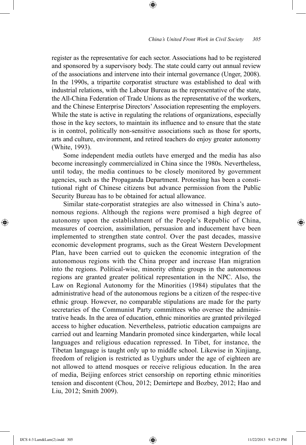register as the representative for each sector. Associations had to be registered and sponsored by a supervisory body. The state could carry out annual review of the associations and intervene into their internal governance (Unger, 2008). In the 1990s, a tripartite corporatist structure was established to deal with industrial relations, with the Labour Bureau as the representative of the state, the All-China Federation of Trade Unions as the representative of the workers, and the Chinese Enterprise Directors' Association representing the employers. While the state is active in regulating the relations of organizations, especially those in the key sectors, to maintain its influence and to ensure that the state is in control, politically non-sensitive associations such as those for sports, arts and culture, environment, and retired teachers do enjoy greater autonomy (White, 1993).

⊕

Some independent media outlets have emerged and the media has also become increasingly commercialized in China since the 1980s. Nevertheless, until today, the media continues to be closely monitored by government agencies, such as the Propaganda Department. Protesting has been a constitutional right of Chinese citizens but advance permission from the Public Security Bureau has to be obtained for actual allowance.

Similar state-corporatist strategies are also witnessed in China's autonomous regions. Although the regions were promised a high degree of autonomy upon the establishment of the People's Republic of China, measures of coercion, assimilation, persuasion and inducement have been implemented to strengthen state control. Over the past decades, massive economic development programs, such as the Great Western Development Plan, have been carried out to quicken the economic integration of the autonomous regions with the China proper and increase Han migration into the regions. Political-wise, minority ethnic groups in the autonomous regions are granted greater political representation in the NPC. Also, the Law on Regional Autonomy for the Minorities (1984) stipulates that the administrative head of the autonomous regions be a citizen of the respec-tive ethnic group. However, no comparable stipulations are made for the party secretaries of the Communist Party committees who oversee the administrative heads. In the area of education, ethnic minorities are granted privileged access to higher education. Nevertheless, patriotic education campaigns are carried out and learning Mandarin promoted since kindergarten, while local languages and religious education repressed. In Tibet, for instance, the Tibetan language is taught only up to middle school. Likewise in Xinjiang, freedom of religion is restricted as Uyghurs under the age of eighteen are not allowed to attend mosques or receive religious education. In the area of media, Beijing enforces strict censorship on reporting ethnic minorities tension and discontent (Chou, 2012; Demirtepe and Bozbey, 2012; Hao and Liu, 2012; Smith 2009).

⊕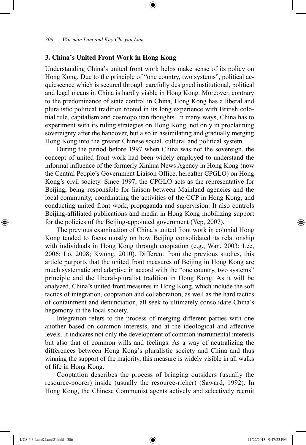## **3. China's United Front Work in Hong Kong**

Understanding China's united front work helps make sense of its policy on Hong Kong. Due to the principle of "one country, two systems", political acquiescence which is secured through carefully designed institutional, political and legal means in China is hardly viable in Hong Kong. Moreover, contrary to the predominance of state control in China, Hong Kong has a liberal and pluralistic political tradition rooted in its long experience with British colonial rule, capitalism and cosmopolitan thoughts. In many ways, China has to experiment with its ruling strategies on Hong Kong, not only in proclaiming sovereignty after the handover, but also in assimilating and gradually merging Hong Kong into the greater Chinese social, cultural and political system.

⊕

During the period before 1997 when China was not the sovereign, the concept of united front work had been widely employed to understand the informal influence of the formerly Xinhua News Agency in Hong Kong (now the Central People's Government Liaison Office, hereafter CPGLO) on Hong Kong's civil society. Since 1997, the CPGLO acts as the representative for Beijing, being responsible for liaison between Mainland agencies and the local community, coordinating the activities of the CCP in Hong Kong, and conducting united front work, propaganda and supervision. It also controls Beijing-affiliated publications and media in Hong Kong mobilizing support for the policies of the Beijing-appointed government (Yep, 2007).

The previous examination of China's united front work in colonial Hong Kong tended to focus mostly on how Beijing consolidated its relationship with individuals in Hong Kong through cooptation (e.g., Wan, 2003; Lee, 2006; Lo, 2008; Kwong, 2010). Different from the previous studies, this article purports that the united front measures of Beijing in Hong Kong are much systematic and adaptive in accord with the "one country, two systems" principle and the liberal-pluralist tradition in Hong Kong. As it will be analyzed, China's united front measures in Hong Kong, which include the soft tactics of integration, cooptation and collaboration, as well as the hard tactics of containment and denunciation, all seek to ultimately consolidate China's hegemony in the local society.

Integration refers to the process of merging different parties with one another based on common interests, and at the ideological and affective levels. It indicates not only the development of common instrumental interests but also that of common wills and feelings. As a way of neutralizing the differences between Hong Kong's pluralistic society and China and thus winning the support of the majority, this measure is widely visible in all walks of life in Hong Kong.

Cooptation describes the process of bringing outsiders (usually the resource-poorer) inside (usually the resource-richer) (Saward, 1992). In Hong Kong, the Chinese Communist agents actively and selectively recruit

⊕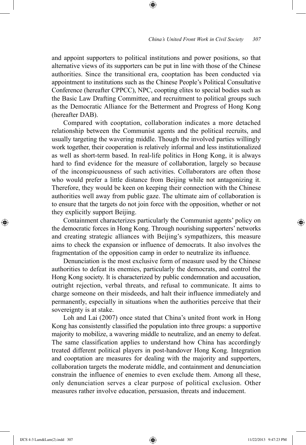and appoint supporters to political institutions and power positions, so that alternative views of its supporters can be put in line with those of the Chinese authorities. Since the transitional era, cooptation has been conducted via appointment to institutions such as the Chinese People's Political Consultative Conference (hereafter CPPCC), NPC, coopting elites to special bodies such as the Basic Law Drafting Committee, and recruitment to political groups such as the Democratic Alliance for the Betterment and Progress of Hong Kong (hereafter DAB).

⊕

Compared with cooptation, collaboration indicates a more detached relationship between the Communist agents and the political recruits, and usually targeting the wavering middle. Though the involved parties willingly work together, their cooperation is relatively informal and less institutionalized as well as short-term based. In real-life politics in Hong Kong, it is always hard to find evidence for the measure of collaboration, largely so because of the inconspicuousness of such activities. Collaborators are often those who would prefer a little distance from Beijing while not antagonizing it. Therefore, they would be keen on keeping their connection with the Chinese authorities well away from public gaze. The ultimate aim of collaboration is to ensure that the targets do not join force with the opposition, whether or not they explicitly support Beijing.

Containment characterizes particularly the Communist agents' policy on the democratic forces in Hong Kong. Through nourishing supporters' networks and creating strategic alliances with Beijing's sympathizers, this measure aims to check the expansion or influence of democrats. It also involves the fragmentation of the opposition camp in order to neutralize its influence.

Denunciation is the most exclusive form of measure used by the Chinese authorities to defeat its enemies, particularly the democrats, and control the Hong Kong society. It is characterized by public condemnation and accusation, outright rejection, verbal threats, and refusal to communicate. It aims to charge someone on their misdeeds, and halt their influence immediately and permanently, especially in situations when the authorities perceive that their sovereignty is at stake.

Loh and Lai (2007) once stated that China's united front work in Hong Kong has consistently classified the population into three groups: a supportive majority to mobilize, a wavering middle to neutralize, and an enemy to defeat. The same classification applies to understand how China has accordingly treated different political players in post-handover Hong Kong. Integration and cooptation are measures for dealing with the majority and supporters, collaboration targets the moderate middle, and containment and denunciation constrain the influence of enemies to even exclude them. Among all these, only denunciation serves a clear purpose of political exclusion. Other measures rather involve education, persuasion, threats and inducement.

⊕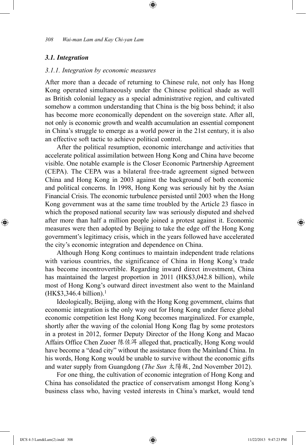# *3.1. Integration*

#### *3.1.1. Integration by economic measures*

After more than a decade of returning to Chinese rule, not only has Hong Kong operated simultaneously under the Chinese political shade as well as British colonial legacy as a special administrative region, and cultivated somehow a common understanding that China is the big boss behind; it also has become more economically dependent on the sovereign state. After all, not only is economic growth and wealth accumulation an essential component in China's struggle to emerge as a world power in the 21st century, it is also an effective soft tactic to achieve political control.

⊕

After the political resumption, economic interchange and activities that accelerate political assimilation between Hong Kong and China have become visible. One notable example is the Closer Economic Partnership Agreement (CEPA). The CEPA was a bilateral free-trade agreement signed between China and Hong Kong in 2003 against the background of both economic and political concerns. In 1998, Hong Kong was seriously hit by the Asian Financial Crisis. The economic turbulence persisted until 2003 when the Hong Kong government was at the same time troubled by the Article 23 fiasco in which the proposed national security law was seriously disputed and shelved after more than half a million people joined a protest against it. Economic measures were then adopted by Beijing to take the edge off the Hong Kong government's legitimacy crisis, which in the years followed have accelerated the city's economic integration and dependence on China.

Although Hong Kong continues to maintain independent trade relations with various countries, the significance of China in Hong Kong's trade has become incontrovertible. Regarding inward direct investment, China has maintained the largest proportion in 2011 (HK\$3,042.8 billion), while most of Hong Kong's outward direct investment also went to the Mainland  $(HK$3,346.4 billion).<sup>1</sup>$ 

Ideologically, Beijing, along with the Hong Kong government, claims that economic integration is the only way out for Hong Kong under fierce global economic competition lest Hong Kong becomes marginalized. For example, shortly after the waving of the colonial Hong Kong flag by some protestors in a protest in 2012, former Deputy Director of the Hong Kong and Macao Affairs Office Chen Zuoer 陈佐洱 alleged that, practically, Hong Kong would have become a "dead city" without the assistance from the Mainland China. In his words, Hong Kong would be unable to survive without the economic gifts and water supply from Guangdong (*The Sun* 太陽報, 2nd November 2012).

For one thing, the cultivation of economic integration of Hong Kong and China has consolidated the practice of conservatism amongst Hong Kong's business class who, having vested interests in China's market, would tend

⊕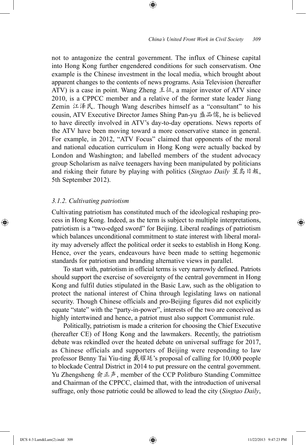not to antagonize the central government. The influx of Chinese capital into Hong Kong further engendered conditions for such conservatism. One example is the Chinese investment in the local media, which brought about apparent changes to the contents of news programs. Asia Television (hereafter ATV) is a case in point. Wang Zheng  $\pm \omega$ , a major investor of ATV since 2010, is a CPPCC member and a relative of the former state leader Jiang Zemin 江泽民. Though Wang describes himself as a "consultant" to his cousin, ATV Executive Director James Shing Pan-yu 盛品儒, he is believed to have directly involved in ATV's day-to-day operations. News reports of the ATV have been moving toward a more conservative stance in general. For example, in 2012, "ATV Focus" claimed that opponents of the moral and national education curriculum in Hong Kong were actually backed by London and Washington; and labelled members of the student advocacy group Scholarism as naïve teenagers having been manipulated by politicians and risking their future by playing with politics (*Singtao Daily* 星島日報, 5th September 2012).

⊕

#### *3.1.2. Cultivating patriotism*

Cultivating patriotism has constituted much of the ideological reshaping process in Hong Kong. Indeed, as the term is subject to multiple interpretations, patriotism is a "two-edged sword" for Beijing. Liberal readings of patriotism which balances unconditional commitment to state interest with liberal morality may adversely affect the political order it seeks to establish in Hong Kong. Hence, over the years, endeavours have been made to setting hegemonic standards for patriotism and branding alternative views in parallel.

To start with, patriotism in official terms is very narrowly defined. Patriots should support the exercise of sovereignty of the central government in Hong Kong and fulfil duties stipulated in the Basic Law, such as the obligation to protect the national interest of China through legislating laws on national security. Though Chinese officials and pro-Beijing figures did not explicitly equate "state" with the "party-in-power", interests of the two are conceived as highly intertwined and hence, a patriot must also support Communist rule.

Politically, patriotism is made a criterion for choosing the Chief Executive (hereafter CE) of Hong Kong and the lawmakers. Recently, the patriotism debate was rekindled over the heated debate on universal suffrage for 2017, as Chinese officials and supporters of Beijing were responding to law professor Benny Tai Yiu-ting 戴耀廷's proposal of calling for 10,000 people to blockade Central District in 2014 to put pressure on the central government. Yu Zhengsheng 俞正声, member of the CCP Politburo Standing Committee and Chairman of the CPPCC, claimed that, with the introduction of universal suffrage, only those patriotic could be allowed to lead the city (*Singtao Daily*,

⊕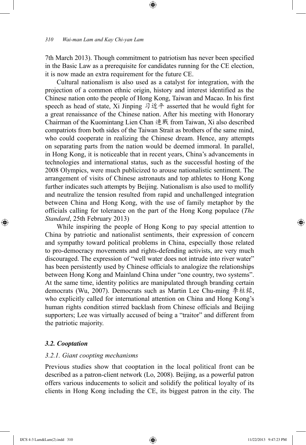7th March 2013). Though commitment to patriotism has never been specified in the Basic Law as a prerequisite for candidates running for the CE election, it is now made an extra requirement for the future CE.

⊕

Cultural nationalism is also used as a catalyst for integration, with the projection of a common ethnic origin, history and interest identified as the Chinese nation onto the people of Hong Kong, Taiwan and Macao. In his first speech as head of state, Xi Jinping 习近平 asserted that he would fight for a great renaissance of the Chinese nation. After his meeting with Honorary Chairman of the Kuomintang Lien Chan 連戰 from Taiwan, Xi also described compatriots from both sides of the Taiwan Strait as brothers of the same mind, who could cooperate in realizing the Chinese dream. Hence, any attempts on separating parts from the nation would be deemed immoral. In parallel, in Hong Kong, it is noticeable that in recent years, China's advancements in technologies and international status, such as the successful hosting of the 2008 Olympics, were much publicized to arouse nationalistic sentiment. The arrangement of visits of Chinese astronauts and top athletes to Hong Kong further indicates such attempts by Beijing. Nationalism is also used to mollify and neutralize the tension resulted from rapid and unchallenged integration between China and Hong Kong, with the use of family metaphor by the officials calling for tolerance on the part of the Hong Kong populace (*The Standard*, 25th February 2013)

While inspiring the people of Hong Kong to pay special attention to China by patriotic and nationalist sentiments, their expression of concern and sympathy toward political problems in China, especially those related to pro-democracy movements and rights-defending activists, are very much discouraged. The expression of "well water does not intrude into river water" has been persistently used by Chinese officials to analogize the relationships between Hong Kong and Mainland China under "one country, two systems". At the same time, identity politics are manipulated through branding certain democrats (Wu, 2007). Democrats such as Martin Lee Chu-ming 李柱銘, who explicitly called for international attention on China and Hong Kong's human rights condition stirred backlash from Chinese officials and Beijing supporters; Lee was virtually accused of being a "traitor" and different from the patriotic majority.

#### *3.2. Cooptation*

## *3.2.1. Giant coopting mechanisms*

Previous studies show that cooptation in the local political front can be described as a patron-client network (Lo, 2008). Beijing, as a powerful patron offers various inducements to solicit and solidify the political loyalty of its clients in Hong Kong including the CE, its biggest patron in the city. The

⊕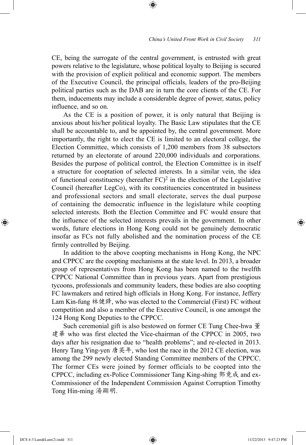CE, being the surrogate of the central government, is entrusted with great powers relative to the legislature, whose political loyalty to Beijing is secured with the provision of explicit political and economic support. The members of the Executive Council, the principal officials, leaders of the pro-Beijing political parties such as the DAB are in turn the core clients of the CE. For them, inducements may include a considerable degree of power, status, policy influence, and so on.

⊕

As the CE is a position of power, it is only natural that Beijing is anxious about his/her political loyalty. The Basic Law stipulates that the CE shall be accountable to, and be appointed by, the central government. More importantly, the right to elect the CE is limited to an electoral college, the Election Committee, which consists of 1,200 members from 38 subsectors returned by an electorate of around 220,000 individuals and corporations. Besides the purpose of political control, the Election Committee is in itself a structure for cooptation of selected interests. In a similar vein, the idea of functional constituency (hereafter  $FC)^2$  in the election of the Legislative Council (hereafter LegCo), with its constituencies concentrated in business and professional sectors and small electorate, serves the dual purpose of containing the democratic influence in the legislature while coopting selected interests. Both the Election Committee and FC would ensure that the influence of the selected interests prevails in the government. In other words, future elections in Hong Kong could not be genuinely democratic insofar as FCs not fully abolished and the nomination process of the CE firmly controlled by Beijing.

In addition to the above coopting mechanisms in Hong Kong, the NPC and CPPCC are the coopting mechanisms at the state level. In 2013, a broader group of representatives from Hong Kong has been named to the twelfth CPPCC National Committee than in previous years. Apart from prestigious tycoons, professionals and community leaders, these bodies are also coopting FC lawmakers and retired high officials in Hong Kong. For instance, Jeffery Lam Kin-fung 林健鋒, who was elected to the Commercial (First) FC without competition and also a member of the Executive Council, is one amongst the 124 Hong Kong Deputies to the CPPCC.

Such ceremonial gift is also bestowed on former CE Tung Chee-hwa 董 建華 who was first elected the Vice-chairman of the CPPCC in 2005, two days after his resignation due to "health problems"; and re-elected in 2013. Henry Tang Ying-yen 唐英年, who lost the race in the 2012 CE election, was among the 299 newly elected Standing Committee members of the CPPCC. The former CEs were joined by former officials to be coopted into the CPPCC, including ex-Police Commissioner Tang King-shing 鄧竟成 and ex-Commissioner of the Independent Commission Against Corruption Timothy Tong Hin-ming 湯顯明.

IJCS 4-3 Lam&Lam(2).indd 311 11/22/2013 9:47:23 PM

⊕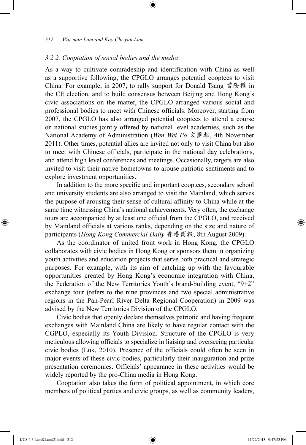#### *3.2.2. Cooptation of social bodies and the media*

As a way to cultivate comradeship and identification with China as well as a supportive following, the CPGLO arranges potential cooptees to visit China. For example, in 2007, to rally support for Donald Tsang 曾蔭權 in the CE election, and to build consensus between Beijing and Hong Kong's civic associations on the matter, the CPGLO arranged various social and professional bodies to meet with Chinese officials. Moreover, starting from 2007, the CPGLO has also arranged potential cooptees to attend a course on national studies jointly offered by national level academies, such as the National Academy of Administration (*Wen Wei Po* 文匯報, 4th November 2011). Other times, potential allies are invited not only to visit China but also to meet with Chinese officials, participate in the national day celebrations, and attend high level conferences and meetings. Occasionally, targets are also invited to visit their native hometowns to arouse patriotic sentiments and to explore investment opportunities.

⊕

In addition to the more specific and important cooptees, secondary school and university students are also arranged to visit the Mainland, which serves the purpose of arousing their sense of cultural affinity to China while at the same time witnessing China's national achievements. Very often, the exchange tours are accompanied by at least one official from the CPGLO, and received by Mainland officials at various ranks, depending on the size and nature of participants (*Hong Kong Commercial Daily* 香港商報, 8th August 2009).

As the coordinator of united front work in Hong Kong, the CPGLO collaborates with civic bodies in Hong Kong or sponsors them in organizing youth activities and education projects that serve both practical and strategic purposes. For example, with its aim of catching up with the favourable opportunities created by Hong Kong's economic integration with China, the Federation of the New Territories Youth's brand-building event, "9+2" exchange tour (refers to the nine provinces and two special administrative regions in the Pan-Pearl River Delta Regional Cooperation) in 2009 was advised by the New Territories Division of the CPGLO.

Civic bodies that openly declare themselves patriotic and having frequent exchanges with Mainland China are likely to have regular contact with the CGPLO, especially its Youth Division. Structure of the CPGLO is very meticulous allowing officials to specialize in liaising and overseeing particular civic bodies (Luk, 2010). Presence of the officials could often be seen in major events of these civic bodies, particularly their inauguration and prize presentation ceremonies. Officials' appearance in these activities would be widely reported by the pro-China media in Hong Kong.

Cooptation also takes the form of political appointment, in which core members of political parties and civic groups, as well as community leaders,

⊕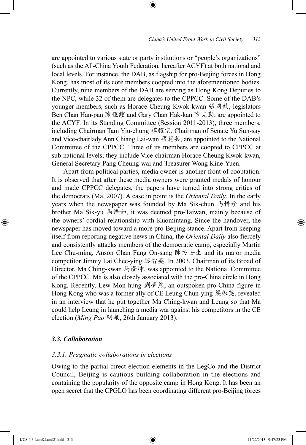## *China's United Front Work in Civil Society 313*

are appointed to various state or party institutions or "people's organizations" (such as the All-China Youth Federation, hereafter ACYF) at both national and local levels. For instance, the DAB, as flagship for pro-Beijing forces in Hong Kong, has most of its core members coopted into the aforementioned bodies. Currently, nine members of the DAB are serving as Hong Kong Deputies to the NPC, while 32 of them are delegates to the CPPCC. Some of the DAB's younger members, such as Horace Cheung Kwok-kwan 張國鈞, legislators Ben Chan Han-pan 陳恆鑌 and Gary Chan Hak-kan 陳克勤, are appointed to the ACYF. In its Standing Committee (Session 2011-2013), three members, including Chairman Tam Yiu-chung 譚耀宗, Chairman of Senate Yu Sun-say and Vice-chairlady Ann Chiang Lai-wan 蔣麗芸, are appointed to the National Committee of the CPPCC. Three of its members are coopted to CPPCC at sub-national levels; they include Vice-chairman Horace Cheung Kwok-kwan, General Secretary Pang Cheung-wai and Treasurer Wong Kine-Yuen.

⊕

Apart from political parties, media owner is another front of cooptation. It is observed that after these media owners were granted medals of honour and made CPPCC delegates, the papers have turned into strong critics of the democrats (Ma, 2007). A case in point is the *Oriental Daily*. In the early years when the newspaper was founded by Ma Sik-chun 馬惜珍 and his brother Ma Sik-yu 馬惜如, it was deemed pro-Taiwan, mainly because of the owners' cordial relationship with Kuomintang. Since the handover, the newspaper has moved toward a more pro-Beijing stance. Apart from keeping itself from reporting negative news in China, the *Oriental Daily* also fiercely and consistently attacks members of the democratic camp, especially Martin Lee Chu-ming, Anson Chan Fang On-sang 陳方安生 and its major media competitor Jimmy Lai Chee-ying 黎智英. In 2003, Chairman of its Broad of Director, Ma Ching-kwan 馬澄坤, was appointed to the National Committee of the CPPCC. Ma is also closely associated with the pro-China circle in Hong Kong. Recently, Lew Mon-hung 劉夢熊, an outspoken pro-China figure in Hong Kong who was a former ally of CE Leung Chun-ying 梁振英, revealed in an interview that he put together Ma Ching-kwan and Leung so that Ma could help Leung in launching a media war against his competitors in the CE election (*Ming Pao* 明報, 26th January 2013).

# *3.3. Collaboration*

# *3.3.1. Pragmatic collaborations in elections*

Owing to the partial direct election elements in the LegCo and the District Council, Beijing is cautious building collaboration in the elections and containing the popularity of the opposite camp in Hong Kong. It has been an open secret that the CPGLO has been coordinating different pro-Beijing forces

⊕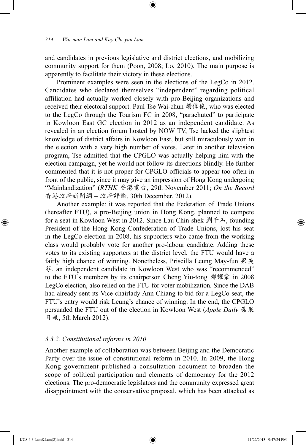and candidates in previous legislative and district elections, and mobilizing community support for them (Poon, 2008; Lo, 2010). The main purpose is apparently to facilitate their victory in these elections.

⊕

Prominent examples were seen in the elections of the LegCo in 2012. Candidates who declared themselves "independent" regarding political affiliation had actually worked closely with pro-Beijing organizations and received their electoral support. Paul Tse Wai-chun 謝偉俊, who was elected to the LegCo through the Tourism FC in 2008, "parachuted" to participate in Kowloon East GC election in 2012 as an independent candidate. As revealed in an election forum hosted by NOW TV, Tse lacked the slightest knowledge of district affairs in Kowloon East, but still miraculously won in the election with a very high number of votes. Later in another television program, Tse admitted that the CPGLO was actually helping him with the election campaign, yet he would not follow its directions blindly. He further commented that it is not proper for CPGLO officials to appear too often in front of the public, since it may give an impression of Hong Kong undergoing "Mainlandization" (*RTHK* 香港電台, 29th November 2011; *On the Record* 香港政府新聞網 – 政府評論, 30th December, 2012).

Another example: it was reported that the Federation of Trade Unions (hereafter FTU), a pro-Beijing union in Hong Kong, planned to compete for a seat in Kowloon West in 2012. Since Lau Chin-shek 劉千石, founding President of the Hong Kong Confederation of Trade Unions, lost his seat in the LegCo election in 2008, his supporters who came from the working class would probably vote for another pro-labour candidate. Adding these votes to its existing supporters at the district level, the FTU would have a fairly high chance of winning. Nonetheless, Priscilla Leung May-fun 梁美 芬, an independent candidate in Kowloon West who was "recommended" to the FTU's members by its chairperson Cheng Yiu-tong 鄭耀棠 in 2008 LegCo election, also relied on the FTU for voter mobilization. Since the DAB had already sent its Vice-chairlady Ann Chiang to bid for a LegCo seat, the FTU's entry would risk Leung's chance of winning. In the end, the CPGLO persuaded the FTU out of the election in Kowloon West (*Apple Daily* 蘋果 日報, 5th March 2012).

#### *3.3.2. Constitutional reforms in 2010*

Another example of collaboration was between Beijing and the Democratic Party over the issue of constitutional reform in 2010. In 2009, the Hong Kong government published a consultation document to broaden the scope of political participation and elements of democracy for the 2012 elections. The pro-democratic legislators and the community expressed great disappointment with the conservative proposal, which has been attacked as

⊕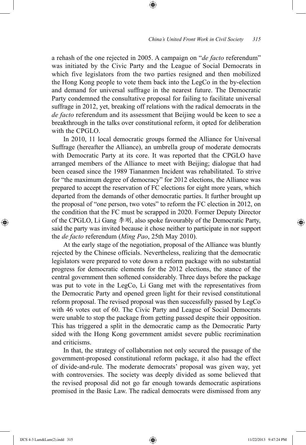a rehash of the one rejected in 2005. A campaign on "*de facto* referendum" was initiated by the Civic Party and the League of Social Democrats in which five legislators from the two parties resigned and then mobilized the Hong Kong people to vote them back into the LegCo in the by-election and demand for universal suffrage in the nearest future. The Democratic Party condemned the consultative proposal for failing to facilitate universal suffrage in 2012, yet, breaking off relations with the radical democrats in the *de facto* referendum and its assessment that Beijing would be keen to see a breakthrough in the talks over constitutional reform, it opted for deliberation with the CPGLO.

⊕

In 2010, 11 local democratic groups formed the Alliance for Universal Suffrage (hereafter the Alliance), an umbrella group of moderate democrats with Democratic Party at its core. It was reported that the CPGLO have arranged members of the Alliance to meet with Beijing; dialogue that had been ceased since the 1989 Tiananmen Incident was rehabilitated. To strive for "the maximum degree of democracy" for 2012 elections, the Alliance was prepared to accept the reservation of FC elections for eight more years, which departed from the demands of other democratic parties. It further brought up the proposal of "one person, two votes" to reform the FC election in 2012, on the condition that the FC must be scrapped in 2020. Former Deputy Director of the CPGLO, Li Gang 李刚, also spoke favourably of the Democratic Party, said the party was invited because it chose neither to participate in nor support the *de facto* referendum (*Ming Pao*, 25th May 2010).

At the early stage of the negotiation, proposal of the Alliance was bluntly rejected by the Chinese officials. Nevertheless, realizing that the democratic legislators were prepared to vote down a reform package with no substantial progress for democratic elements for the 2012 elections, the stance of the central government then softened considerably. Three days before the package was put to vote in the LegCo, Li Gang met with the representatives from the Democratic Party and opened green light for their revised constitutional reform proposal. The revised proposal was then successfully passed by LegCo with 46 votes out of 60. The Civic Party and League of Social Democrats were unable to stop the package from getting passed despite their opposition. This has triggered a split in the democratic camp as the Democratic Party sided with the Hong Kong government amidst severe public recrimination and criticisms.

In that, the strategy of collaboration not only secured the passage of the government-proposed constitutional reform package, it also had the effect of divide-and-rule. The moderate democrats' proposal was given way, yet with controversies. The society was deeply divided as some believed that the revised proposal did not go far enough towards democratic aspirations promised in the Basic Law. The radical democrats were dismissed from any

⊕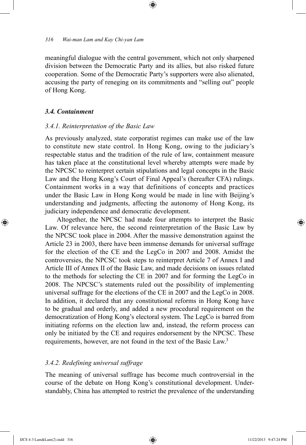meaningful dialogue with the central government, which not only sharpened division between the Democratic Party and its allies, but also risked future cooperation. Some of the Democratic Party's supporters were also alienated, accusing the party of reneging on its commitments and "selling out" people of Hong Kong.

⊕

## *3.4. Containment*

#### *3.4.1. Reinterpretation of the Basic Law*

As previously analyzed, state corporatist regimes can make use of the law to constitute new state control. In Hong Kong, owing to the judiciary's respectable status and the tradition of the rule of law, containment measure has taken place at the constitutional level whereby attempts were made by the NPCSC to reinterpret certain stipulations and legal concepts in the Basic Law and the Hong Kong's Court of Final Appeal's (hereafter CFA) rulings. Containment works in a way that definitions of concepts and practices under the Basic Law in Hong Kong would be made in line with Beijing's understanding and judgments, affecting the autonomy of Hong Kong, its judiciary independence and democratic development.

Altogether, the NPCSC had made four attempts to interpret the Basic Law. Of relevance here, the second reinterpretation of the Basic Law by the NPCSC took place in 2004. After the massive demonstration against the Article 23 in 2003, there have been immense demands for universal suffrage for the election of the CE and the LegCo in 2007 and 2008. Amidst the controversies, the NPCSC took steps to reinterpret Article 7 of Annex I and Article III of Annex II of the Basic Law, and made decisions on issues related to the methods for selecting the CE in 2007 and for forming the LegCo in 2008. The NPCSC's statements ruled out the possibility of implementing universal suffrage for the elections of the CE in 2007 and the LegCo in 2008. In addition, it declared that any constitutional reforms in Hong Kong have to be gradual and orderly, and added a new procedural requirement on the democratization of Hong Kong's electoral system. The LegCo is barred from initiating reforms on the election law and, instead, the reform process can only be initiated by the CE and requires endorsement by the NPCSC. These requirements, however, are not found in the text of the Basic Law.<sup>3</sup>

## *3.4.2. Redefining universal suffrage*

The meaning of universal suffrage has become much controversial in the course of the debate on Hong Kong's constitutional development. Understandably, China has attempted to restrict the prevalence of the understanding

⊕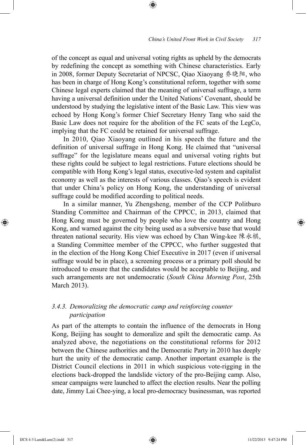of the concept as equal and universal voting rights as upheld by the democrats by redefining the concept as something with Chinese characteristics. Early in 2008, former Deputy Secretariat of NPCSC, Qiao Xiaoyang 乔晓阳, who has been in charge of Hong Kong's constitutional reform, together with some Chinese legal experts claimed that the meaning of universal suffrage, a term having a universal definition under the United Nations' Covenant, should be understood by studying the legislative intent of the Basic Law. This view was echoed by Hong Kong's former Chief Secretary Henry Tang who said the Basic Law does not require for the abolition of the FC seats of the LegCo, implying that the FC could be retained for universal suffrage.

⊕

In 2010, Qiao Xiaoyang outlined in his speech the future and the definition of universal suffrage in Hong Kong. He claimed that "universal suffrage" for the legislature means equal and universal voting rights but these rights could be subject to legal restrictions. Future elections should be compatible with Hong Kong's legal status, executive-led system and capitalist economy as well as the interests of various classes. Qiao's speech is evident that under China's policy on Hong Kong, the understanding of universal suffrage could be modified according to political needs.

In a similar manner, Yu Zhengsheng, member of the CCP Politburo Standing Committee and Chairman of the CPPCC, in 2013, claimed that Hong Kong must be governed by people who love the country and Hong Kong, and warned against the city being used as a subversive base that would threaten national security. His view was echoed by Chan Wing-kee 陳永棋, a Standing Committee member of the CPPCC, who further suggested that in the election of the Hong Kong Chief Executive in 2017 (even if universal suffrage would be in place), a screening process or a primary poll should be introduced to ensure that the candidates would be acceptable to Beijing, and such arrangements are not undemocratic (*South China Morning Post*, 25th March 2013).

# *3.4.3. Demoralizing the democratic camp and reinforcing counter participation*

As part of the attempts to contain the influence of the democrats in Hong Kong, Beijing has sought to demoralize and spilt the democratic camp. As analyzed above, the negotiations on the constitutional reforms for 2012 between the Chinese authorities and the Democratic Party in 2010 has deeply hurt the unity of the democratic camp. Another important example is the District Council elections in 2011 in which suspicious vote-rigging in the elections back-dropped the landslide victory of the pro-Beijing camp. Also, smear campaigns were launched to affect the election results. Near the polling date, Jimmy Lai Chee-ying, a local pro-democracy businessman, was reported

⊕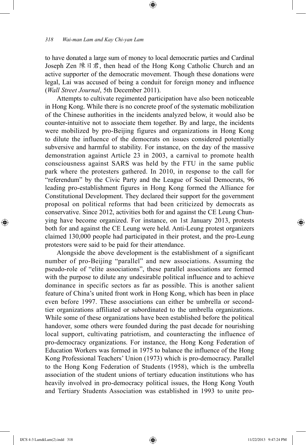to have donated a large sum of money to local democratic parties and Cardinal Joseph Zen 陳日君, then head of the Hong Kong Catholic Church and an active supporter of the democratic movement. Though these donations were legal, Lai was accused of being a conduit for foreign money and influence (*Wall Street Journal*, 5th December 2011).

⊕

Attempts to cultivate regimented participation have also been noticeable in Hong Kong. While there is no concrete proof of the systematic mobilization of the Chinese authorities in the incidents analyzed below, it would also be counter-intuitive not to associate them together. By and large, the incidents were mobilized by pro-Beijing figures and organizations in Hong Kong to dilute the influence of the democrats on issues considered potentially subversive and harmful to stability. For instance, on the day of the massive demonstration against Article 23 in 2003, a carnival to promote health consciousness against SARS was held by the FTU in the same public park where the protesters gathered. In 2010, in response to the call for "referendum" by the Civic Party and the League of Social Democrats, 96 leading pro-establishment figures in Hong Kong formed the Alliance for Constitutional Development. They declared their support for the government proposal on political reforms that had been criticized by democrats as conservative. Since 2012, activities both for and against the CE Leung Chunying have become organized. For instance, on 1st January 2013, protests both for and against the CE Leung were held. Anti-Leung protest organizers claimed 130,000 people had participated in their protest, and the pro-Leung protestors were said to be paid for their attendance.

Alongside the above development is the establishment of a significant number of pro-Beijing "parallel" and new associations. Assuming the pseudo-role of "elite associations", these parallel associations are formed with the purpose to dilute any undesirable political influence and to achieve dominance in specific sectors as far as possible. This is another salient feature of China's united front work in Hong Kong, which has been in place even before 1997. These associations can either be umbrella or secondtier organizations affiliated or subordinated to the umbrella organizations. While some of these organizations have been established before the political handover, some others were founded during the past decade for nourishing local support, cultivating patriotism, and counteracting the influence of pro-democracy organizations. For instance, the Hong Kong Federation of Education Workers was formed in 1975 to balance the influence of the Hong Kong Professional Teachers' Union (1973) which is pro-democracy. Parallel to the Hong Kong Federation of Students (1958), which is the umbrella association of the student unions of tertiary education institutions who has heavily involved in pro-democracy political issues, the Hong Kong Youth and Tertiary Students Association was established in 1993 to unite pro-

⊕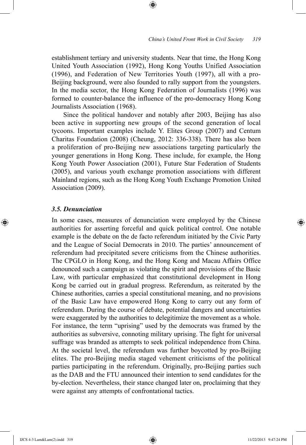establishment tertiary and university students. Near that time, the Hong Kong United Youth Association (1992), Hong Kong Youths Unified Association (1996), and Federation of New Territories Youth (1997), all with a pro-Beijing background, were also founded to rally support from the youngsters. In the media sector, the Hong Kong Federation of Journalists (1996) was formed to counter-balance the influence of the pro-democracy Hong Kong Journalists Association (1968).

⊕

Since the political handover and notably after 2003, Beijing has also been active in supporting new groups of the second generation of local tycoons. Important examples include Y. Elites Group (2007) and Centum Charitas Foundation (2008) (Cheung, 2012: 336-338). There has also been a proliferation of pro-Beijing new associations targeting particularly the younger generations in Hong Kong. These include, for example, the Hong Kong Youth Power Association (2001), Future Star Federation of Students (2005), and various youth exchange promotion associations with different Mainland regions, such as the Hong Kong Youth Exchange Promotion United Association (2009).

#### *3.5. Denunciation*

⊕

In some cases, measures of denunciation were employed by the Chinese authorities for asserting forceful and quick political control. One notable example is the debate on the de facto referendum initiated by the Civic Party and the League of Social Democrats in 2010. The parties' announcement of referendum had precipitated severe criticisms from the Chinese authorities. The CPGLO in Hong Kong, and the Hong Kong and Macau Affairs Office denounced such a campaign as violating the spirit and provisions of the Basic Law, with particular emphasized that constitutional development in Hong Kong be carried out in gradual progress. Referendum, as reiterated by the Chinese authorities, carries a special constitutional meaning, and no provisions of the Basic Law have empowered Hong Kong to carry out any form of referendum. During the course of debate, potential dangers and uncertainties were exaggerated by the authorities to delegitimize the movement as a whole. For instance, the term "uprising" used by the democrats was framed by the authorities as subversive, connoting military uprising. The fight for universal suffrage was branded as attempts to seek political independence from China. At the societal level, the referendum was further boycotted by pro-Beijing elites. The pro-Beijing media staged vehement criticisms of the political parties participating in the referendum. Originally, pro-Beijing parties such as the DAB and the FTU announced their intention to send candidates for the by-election. Nevertheless, their stance changed later on, proclaiming that they were against any attempts of confrontational tactics.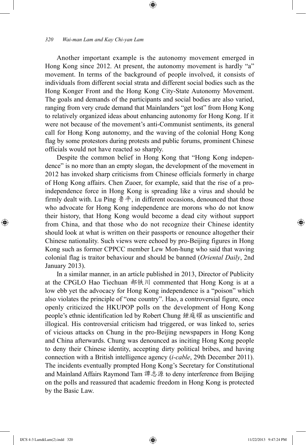Another important example is the autonomy movement emerged in Hong Kong since 2012. At present, the autonomy movement is hardly "a" movement. In terms of the background of people involved, it consists of individuals from different social strata and different social bodies such as the Hong Konger Front and the Hong Kong City-State Autonomy Movement. The goals and demands of the participants and social bodies are also varied, ranging from very crude demand that Mainlanders "get lost" from Hong Kong to relatively organized ideas about enhancing autonomy for Hong Kong. If it were not because of the movement's anti-Communist sentiments, its general call for Hong Kong autonomy, and the waving of the colonial Hong Kong flag by some protestors during protests and public forums, prominent Chinese officials would not have reacted so sharply.

⊕

Despite the common belief in Hong Kong that "Hong Kong independence" is no more than an empty slogan, the development of the movement in 2012 has invoked sharp criticisms from Chinese officials formerly in charge of Hong Kong affairs. Chen Zuoer, for example, said that the rise of a proindependence force in Hong Kong is spreading like a virus and should be firmly dealt with. Lu Ping  $\frac{1}{3} + \frac{1}{2}$ , in different occasions, denounced that those who advocate for Hong Kong independence are morons who do not know their history, that Hong Kong would become a dead city without support from China, and that those who do not recognize their Chinese identity should look at what is written on their passports or renounce altogether their Chinese nationality. Such views were echoed by pro-Beijing figures in Hong Kong such as former CPPCC member Lew Mon-hung who said that waving colonial flag is traitor behaviour and should be banned (*Oriental Daily*, 2nd January 2013).

In a similar manner, in an article published in 2013, Director of Publicity at the CPGLO Hao Tiechuan 郝铁川 commented that Hong Kong is at a low ebb yet the advocacy for Hong Kong independence is a "poison" which also violates the principle of "one country". Hao, a controversial figure, once openly criticized the HKUPOP polls on the development of Hong Kong people's ethnic identification led by Robert Chung 鍾庭耀 as unscientific and illogical. His controversial criticism had triggered, or was linked to, series of vicious attacks on Chung in the pro-Beijing newspapers in Hong Kong and China afterwards. Chung was denounced as inciting Hong Kong people to deny their Chinese identity, accepting dirty political bribes, and having connection with a British intelligence agency (*i-cable*, 29th December 2011). The incidents eventually prompted Hong Kong's Secretary for Constitutional and Mainland Affairs Raymond Tam 譚志源 to deny interference from Beijing on the polls and reassured that academic freedom in Hong Kong is protected by the Basic Law.

⊕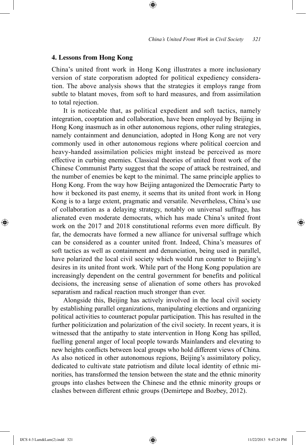#### **4. Lessons from Hong Kong**

China's united front work in Hong Kong illustrates a more inclusionary version of state corporatism adopted for political expediency consideration. The above analysis shows that the strategies it employs range from subtle to blatant moves, from soft to hard measures, and from assimilation to total rejection.

⊕

It is noticeable that, as political expedient and soft tactics, namely integration, cooptation and collaboration, have been employed by Beijing in Hong Kong inasmuch as in other autonomous regions, other ruling strategies, namely containment and denunciation, adopted in Hong Kong are not very commonly used in other autonomous regions where political coercion and heavy-handed assimilation policies might instead be perceived as more effective in curbing enemies. Classical theories of united front work of the Chinese Communist Party suggest that the scope of attack be restrained, and the number of enemies be kept to the minimal. The same principle applies to Hong Kong. From the way how Beijing antagonized the Democratic Party to how it beckoned its past enemy, it seems that its united front work in Hong Kong is to a large extent, pragmatic and versatile. Nevertheless, China's use of collaboration as a delaying strategy, notably on universal suffrage, has alienated even moderate democrats, which has made China's united front work on the 2017 and 2018 constitutional reforms even more difficult. By far, the democrats have formed a new alliance for universal suffrage which can be considered as a counter united front. Indeed, China's measures of soft tactics as well as containment and denunciation, being used in parallel, have polarized the local civil society which would run counter to Beijing's desires in its united front work. While part of the Hong Kong population are increasingly dependent on the central government for benefits and political decisions, the increasing sense of alienation of some others has provoked separatism and radical reaction much stronger than ever.

Alongside this, Beijing has actively involved in the local civil society by establishing parallel organizations, manipulating elections and organizing political activities to counteract popular participation. This has resulted in the further politicization and polarization of the civil society. In recent years, it is witnessed that the antipathy to state intervention in Hong Kong has spilled, fuelling general anger of local people towards Mainlanders and elevating to new heights conflicts between local groups who hold different views of China. As also noticed in other autonomous regions, Beijing's assimilatory policy, dedicated to cultivate state patriotism and dilute local identity of ethnic minorities, has transformed the tension between the state and the ethnic minority groups into clashes between the Chinese and the ethnic minority groups or clashes between different ethnic groups (Demirtepe and Bozbey, 2012).

⊕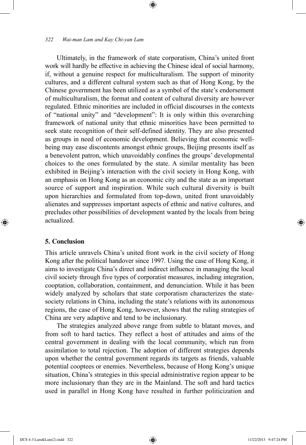Ultimately, in the framework of state corporatism, China's united front work will hardly be effective in achieving the Chinese ideal of social harmony, if, without a genuine respect for multiculturalism. The support of minority cultures, and a different cultural system such as that of Hong Kong, by the Chinese government has been utilized as a symbol of the state's endorsement of multiculturalism, the format and content of cultural diversity are however regulated. Ethnic minorities are included in official discourses in the contexts of "national unity" and "development": It is only within this overarching framework of national unity that ethnic minorities have been permitted to seek state recognition of their self-defined identity. They are also presented as groups in need of economic development. Believing that economic wellbeing may ease discontents amongst ethnic groups, Beijing presents itself as a benevolent patron, which unavoidably confines the groups' developmental choices to the ones formulated by the state. A similar mentality has been exhibited in Beijing's interaction with the civil society in Hong Kong, with an emphasis on Hong Kong as an economic city and the state as an important source of support and inspiration. While such cultural diversity is built upon hierarchies and formulated from top-down, united front unavoidably alienates and suppresses important aspects of ethnic and native cultures, and precludes other possibilities of development wanted by the locals from being actualized.

⊕

## **5. Conclusion**

⊕

This article unravels China's united front work in the civil society of Hong Kong after the political handover since 1997. Using the case of Hong Kong, it aims to investigate China's direct and indirect influence in managing the local civil society through five types of corporatist measures, including integration, cooptation, collaboration, containment, and denunciation. While it has been widely analyzed by scholars that state corporatism characterizes the statesociety relations in China, including the state's relations with its autonomous regions, the case of Hong Kong, however, shows that the ruling strategies of China are very adaptive and tend to be inclusionary.

The strategies analyzed above range from subtle to blatant moves, and from soft to hard tactics. They reflect a host of attitudes and aims of the central government in dealing with the local community, which run from assimilation to total rejection. The adoption of different strategies depends upon whether the central government regards its targets as friends, valuable potential cooptees or enemies. Nevertheless, because of Hong Kong's unique situation, China's strategies in this special administrative region appear to be more inclusionary than they are in the Mainland. The soft and hard tactics used in parallel in Hong Kong have resulted in further politicization and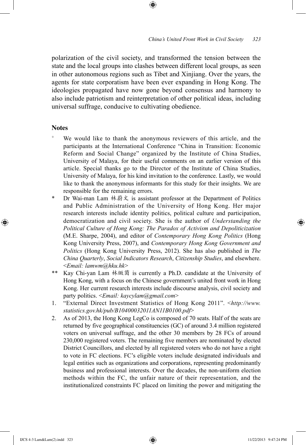polarization of the civil society, and transformed the tension between the state and the local groups into clashes between different local groups, as seen in other autonomous regions such as Tibet and Xinjiang. Over the years, the agents for state corporatism have been ever expanding in Hong Kong. The ideologies propagated have now gone beyond consensus and harmony to also include patriotism and reinterpretation of other political ideas, including universal suffrage, conducive to cultivating obedience.

⊕

## **Notes**

 $\bigoplus$ 

- We would like to thank the anonymous reviewers of this article, and the participants at the International Conference "China in Transition: Economic Reform and Social Change" organized by the Institute of China Studies, University of Malaya, for their useful comments on an earlier version of this article. Special thanks go to the Director of the Institute of China Studies, University of Malaya, for his kind invitation to the conference. Lastly, we would like to thank the anonymous informants for this study for their insights. We are responsible for the remaining errors.
- Dr Wai-man Lam 林蔚文 is assistant professor at the Department of Politics and Public Administration of the University of Hong Kong. Her major research interests include identity politics, political culture and participation, democratization and civil society. She is the author of *Understanding the Political Culture of Hong Kong: The Paradox of Activism and Depoliticization*  (M.E. Sharpe, 2004), and editor of *Contemporary Hong Kong Politics* (Hong Kong University Press, 2007), and *Contemporary Hong Kong Government and Politics* (Hong Kong University Press, 2012). She has also published in *The China Quarterly*, *Social Indicators Research*, *Citizenship Studies*, and elsewhere. <*Email: lamwm@hku.hk*>
- \*\* Kay Chi-yan Lam 林緻茵 is currently a Ph.D. candidate at the University of Hong Kong, with a focus on the Chinese government's united front work in Hong Kong. Her current research interests include discourse analysis, civil society and party politics. <*Email: kaycylam@gmail.com*>
- 1. "External Direct Investment Statistics of Hong Kong 2011". <*http://www. statistics.gov.hk/pub/B10400032011AN11B0100.pdf*>
- 2. As of 2013, the Hong Kong LegCo is composed of 70 seats. Half of the seats are returned by five geographical constituencies (GC) of around 3.4 million registered voters on universal suffrage, and the other 30 members by 28 FCs of around 230,000 registered voters. The remaining five members are nominated by elected District Councillors, and elected by all registered voters who do not have a right to vote in FC elections. FC's eligible voters include designated individuals and legal entities such as organizations and corporations, representing predominantly business and professional interests. Over the decades, the non-uniform election methods within the FC, the unfair nature of their representation, and the institutionalized constraints FC placed on limiting the power and mitigating the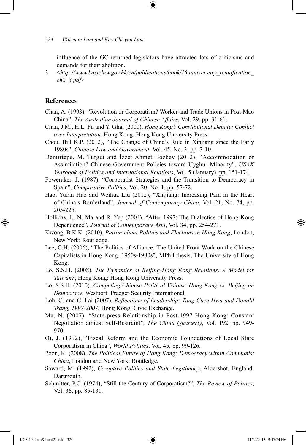influence of the GC-returned legislators have attracted lots of criticisms and demands for their abolition.

3. <*http://www.basiclaw.gov.hk/en/publications/book/15anniversary\_reunification\_ ch2\_3.pdf*>

#### **References**

⊕

- Chan, A. (1993), "Revolution or Corporatism? Worker and Trade Unions in Post-Mao China", *The Australian Journal of Chinese Affairs*, Vol. 29, pp. 31-61.
- Chan, J.M., H.L. Fu and Y. Ghai (2000), *Hong Kong's Constitutional Debate: Conflict over Interpretation*, Hong Kong: Hong Kong University Press.
- Chou, Bill K.P. (2012), "The Change of China's Rule in Xinjiang since the Early 1980s", *Chinese Law and Government*, Vol. 45, No. 3, pp. 3-10.
- Demirtepe, M. Turgut and İzzet Ahmet Bozbey (2012), "Accommodation or Assimilation? Chinese Government Policies toward Uyghur Minority", *USAK Yearbook of Politics and International Relations*, Vol. 5 (January), pp. 151-174.
- Foweraker, J. (1987), "Corporatist Strategies and the Transition to Democracy in Spain", *Comparative Politics*, Vol. 20, No. 1, pp. 57-72.
- Hao, Yufan Hao and Weihua Liu (2012), "Xinjiang: Increasing Pain in the Heart of China's Borderland", *Journal of Contemporary China*, Vol. 21, No. 74, pp. 205-225.
- Holliday, I., N. Ma and R. Yep (2004), "After 1997: The Dialectics of Hong Kong Dependence", *Journal of Contemporary Asia*, Vol. 34, pp. 254-271.
- Kwong, B.K.K. (2010), *Patron-client Politics and Elections in Hong Kong*, London, New York: Routledge.
- Lee, C.H. (2006), "The Politics of Alliance: The United Front Work on the Chinese Capitalists in Hong Kong, 1950s-1980s", MPhil thesis, The University of Hong Kong.
- Lo, S.S.H. (2008), *The Dynamics of Beijing-Hong Kong Relations: A Model for Taiwan?*, Hong Kong: Hong Kong University Press.
- Lo, S.S.H. (2010), *Competing Chinese Political Visions: Hong Kong vs. Beijing on Democracy*, Westport: Praeger Security International.
- Loh, C. and C. Lai (2007), *Reflections of Leadership: Tung Chee Hwa and Donald Tsang, 1997-2007*, Hong Kong: Civic Exchange.
- Ma, N. (2007), "State-press Relationship in Post-1997 Hong Kong: Constant Negotiation amidst Self-Restraint", *The China Quarterly*, Vol. 192, pp. 949- 970.
- Oi, J. (1992), "Fiscal Reform and the Economic Foundations of Local State Corporatism in China", *World Politics*, Vol. 45, pp. 99-126.
- Poon, K. (2008), *The Political Future of Hong Kong: Democracy within Communist China*, London and New York: Routledge.
- Saward, M. (1992), *Co-optive Politics and State Legitimacy*, Aldershot, England: Dartmouth.
- Schmitter, P.C. (1974), "Still the Century of Corporatism?", *The Review of Politics*, Vol. 36, pp. 85-131.

IJCS 4-3 Lam&Lam(2).indd 324 11/22/2013 9:47:24 PM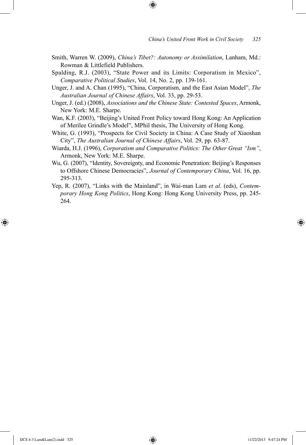Smith, Warren W. (2009), *China's Tibet?: Autonomy or Assimilation*, Lanham, Md.: Rowman & Littlefield Publishers.

⊕

- Spalding, R.J. (2003), "State Power and its Limits: Corporatism in Mexico", *Comparative Political Studies*, Vol. 14, No. 2, pp. 139-161.
- Unger, J. and A. Chan (1995), "China, Corporatism, and the East Asian Model", *The Australian Journal of Chinese Affairs*, Vol. 33, pp. 29-53.
- Unger, J. (ed.) (2008), *Associations and the Chinese State: Contested Spaces*, Armonk, New York: M.E. Sharpe.
- Wan, K.F. (2003), "Beijing's United Front Policy toward Hong Kong: An Application of Merilee Grindle's Model", MPhil thesis, The University of Hong Kong.
- White, G. (1993), "Prospects for Civil Society in China: A Case Study of Xiaoshan City", *The Australian Journal of Chinese Affairs*, Vol. 29, pp. 63-87.
- Wiarda, H.J. (1996), *Corporatism and Comparative Politics: The Other Great "Ism"*, Armonk, New York: M.E. Sharpe.
- Wu, G. (2007), "Identity, Sovereignty, and Economic Penetration: Beijing's Responses to Offshore Chinese Democracies", *Journal of Contemporary China*, Vol. 16, pp. 295-313.
- Yep, R. (2007), "Links with the Mainland", in Wai-man Lam *et al*. (eds), *Contemporary Hong Kong Politics*, Hong Kong: Hong Kong University Press, pp. 245- 264.

⊕